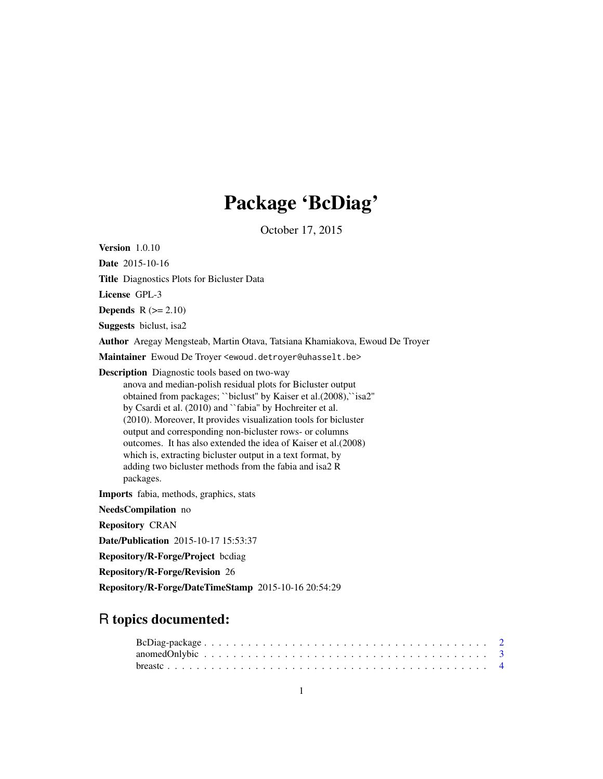# Package 'BcDiag'

October 17, 2015

Version 1.0.10 Date 2015-10-16 Title Diagnostics Plots for Bicluster Data License GPL-3 Depends  $R (= 2.10)$ Suggests biclust, isa2 Author Aregay Mengsteab, Martin Otava, Tatsiana Khamiakova, Ewoud De Troyer Maintainer Ewoud De Troyer <ewoud.detroyer@uhasselt.be> Description Diagnostic tools based on two-way anova and median-polish residual plots for Bicluster output obtained from packages; ``biclust'' by Kaiser et al.(2008),``isa2'' by Csardi et al. (2010) and ``fabia'' by Hochreiter et al. (2010). Moreover, It provides visualization tools for bicluster output and corresponding non-bicluster rows- or columns outcomes. It has also extended the idea of Kaiser et al.(2008) which is, extracting bicluster output in a text format, by adding two bicluster methods from the fabia and isa2 R packages. Imports fabia, methods, graphics, stats NeedsCompilation no Repository CRAN Date/Publication 2015-10-17 15:53:37 Repository/R-Forge/Project bcdiag Repository/R-Forge/Revision 26 Repository/R-Forge/DateTimeStamp 2015-10-16 20:54:29

# R topics documented: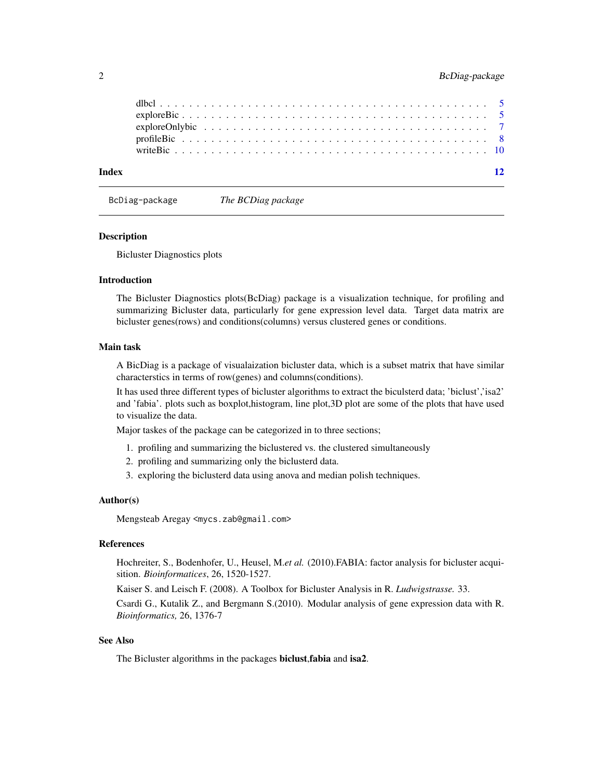<span id="page-1-0"></span>

| Index |  |  |  |  |  |  |  |  |  |  |  |  |  |  |  |  |  |
|-------|--|--|--|--|--|--|--|--|--|--|--|--|--|--|--|--|--|
|       |  |  |  |  |  |  |  |  |  |  |  |  |  |  |  |  |  |
|       |  |  |  |  |  |  |  |  |  |  |  |  |  |  |  |  |  |
|       |  |  |  |  |  |  |  |  |  |  |  |  |  |  |  |  |  |
|       |  |  |  |  |  |  |  |  |  |  |  |  |  |  |  |  |  |

BcDiag-package *The BCDiag package*

#### Description

Bicluster Diagnostics plots

### Introduction

The Bicluster Diagnostics plots(BcDiag) package is a visualization technique, for profiling and summarizing Bicluster data, particularly for gene expression level data. Target data matrix are bicluster genes(rows) and conditions(columns) versus clustered genes or conditions.

### Main task

A BicDiag is a package of visualaization bicluster data, which is a subset matrix that have similar characterstics in terms of row(genes) and columns(conditions).

It has used three different types of bicluster algorithms to extract the biculsterd data; 'biclust','isa2' and 'fabia'. plots such as boxplot,histogram, line plot,3D plot are some of the plots that have used to visualize the data.

Major taskes of the package can be categorized in to three sections;

- 1. profiling and summarizing the biclustered vs. the clustered simultaneously
- 2. profiling and summarizing only the biclusterd data.
- 3. exploring the biclusterd data using anova and median polish techniques.

#### Author(s)

Mengsteab Aregay <mycs.zab@gmail.com>

# References

Hochreiter, S., Bodenhofer, U., Heusel, M.*et al.* (2010).FABIA: factor analysis for bicluster acquisition. *Bioinformatices*, 26, 1520-1527.

Kaiser S. and Leisch F. (2008). A Toolbox for Bicluster Analysis in R. *Ludwigstrasse.* 33.

Csardi G., Kutalik Z., and Bergmann S.(2010). Modular analysis of gene expression data with R. *Bioinformatics,* 26, 1376-7

# See Also

The Bicluster algorithms in the packages biclust, fabia and isa2.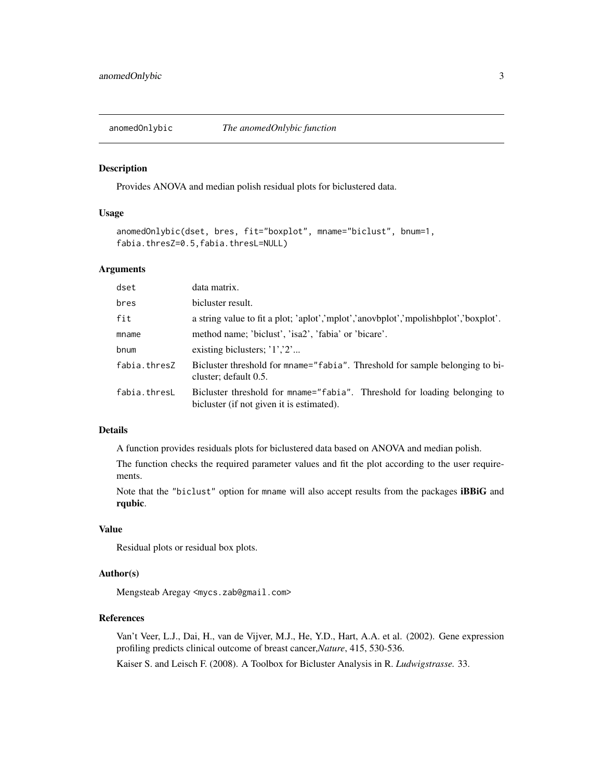<span id="page-2-0"></span>

# Description

Provides ANOVA and median polish residual plots for biclustered data.

### Usage

```
anomedOnlybic(dset, bres, fit="boxplot", mname="biclust", bnum=1,
fabia.thresZ=0.5,fabia.thresL=NULL)
```
### Arguments

| dset         | data matrix.                                                                                                           |
|--------------|------------------------------------------------------------------------------------------------------------------------|
| bres         | bicluster result.                                                                                                      |
| fit          | a string value to fit a plot; 'aplot','mplot','anovbplot','mpolishbplot','boxplot'.                                    |
| mname        | method name; 'biclust', 'isa2', 'fabia' or 'bicare'.                                                                   |
| bnum         | existing biclusters; $'1'$ , $'2'$                                                                                     |
| fabia.thresZ | Bicluster threshold for mname="fabia". Threshold for sample belonging to bi-<br>cluster; default 0.5.                  |
| fabia.thresL | Bicluster threshold for mname="fabia". Threshold for loading belonging to<br>bicluster (if not given it is estimated). |

# Details

A function provides residuals plots for biclustered data based on ANOVA and median polish.

The function checks the required parameter values and fit the plot according to the user requirements.

Note that the "biclust" option for mname will also accept results from the packages iBBiG and rqubic.

# Value

Residual plots or residual box plots.

### Author(s)

Mengsteab Aregay <mycs.zab@gmail.com>

#### References

Van't Veer, L.J., Dai, H., van de Vijver, M.J., He, Y.D., Hart, A.A. et al. (2002). Gene expression profiling predicts clinical outcome of breast cancer,*Nature*, 415, 530-536.

Kaiser S. and Leisch F. (2008). A Toolbox for Bicluster Analysis in R. *Ludwigstrasse.* 33.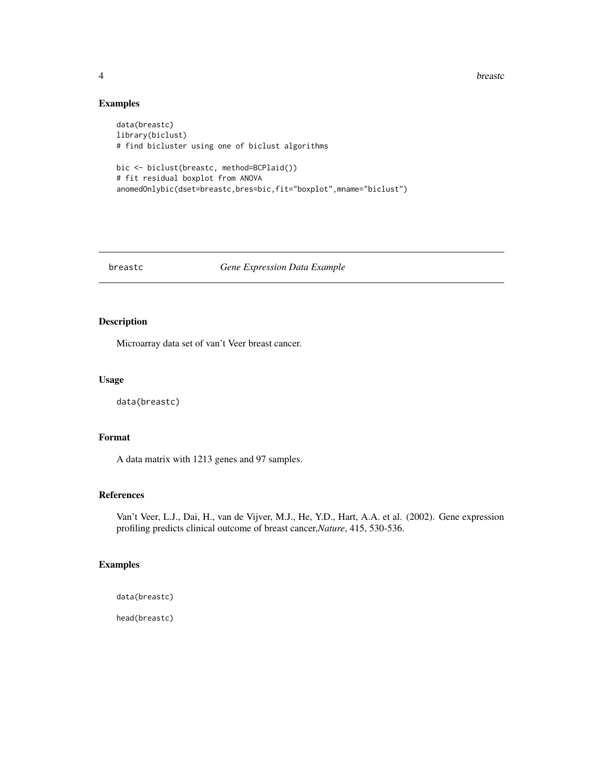**4** breastc

# Examples

```
data(breastc)
library(biclust)
# find bicluster using one of biclust algorithms
bic <- biclust(breastc, method=BCPlaid())
# fit residual boxplot from ANOVA
anomedOnlybic(dset=breastc,bres=bic,fit="boxplot",mname="biclust")
```
# breastc *Gene Expression Data Example*

# Description

Microarray data set of van't Veer breast cancer.

# Usage

data(breastc)

# Format

A data matrix with 1213 genes and 97 samples.

# References

Van't Veer, L.J., Dai, H., van de Vijver, M.J., He, Y.D., Hart, A.A. et al. (2002). Gene expression profiling predicts clinical outcome of breast cancer,*Nature*, 415, 530-536.

# Examples

```
data(breastc)
```
head(breastc)

<span id="page-3-0"></span>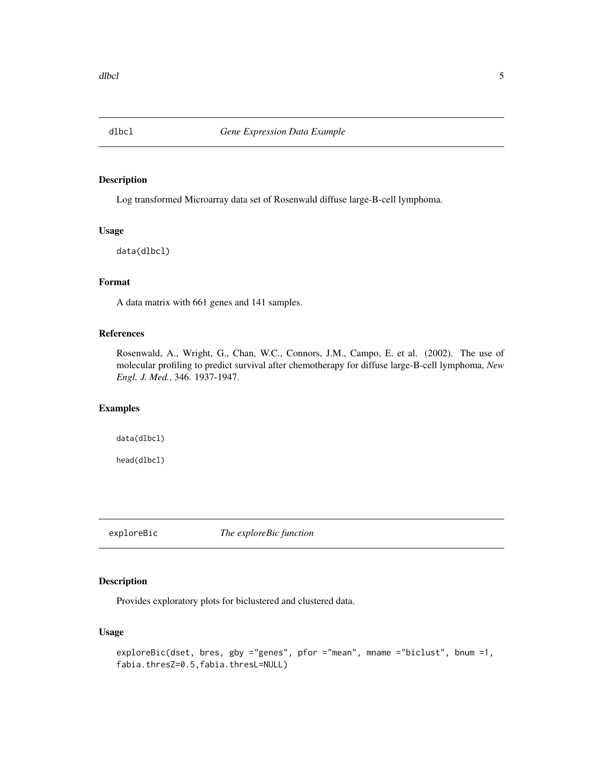<span id="page-4-0"></span>

# Description

Log transformed Microarray data set of Rosenwald diffuse large-B-cell lymphoma.

#### Usage

data(dlbcl)

# Format

A data matrix with 661 genes and 141 samples.

# References

Rosenwald, A., Wright, G., Chan, W.C., Connors, J.M., Campo, E. et al. (2002). The use of molecular profiling to predict survival after chemotherapy for diffuse large-B-cell lymphoma, *New Engl. J. Med.*, 346. 1937-1947.

# Examples

data(dlbcl)

head(dlbcl)

<span id="page-4-1"></span>exploreBic *The exploreBic function*

#### Description

Provides exploratory plots for biclustered and clustered data.

# Usage

```
exploreBic(dset, bres, gby ="genes", pfor ="mean", mname ="biclust", bnum =1,
fabia.thresZ=0.5,fabia.thresL=NULL)
```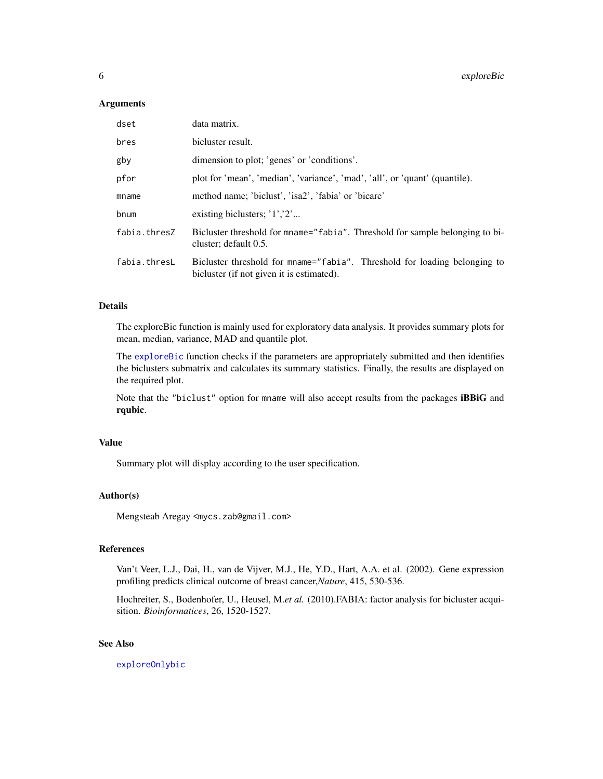#### <span id="page-5-0"></span>**Arguments**

| dset         | data matrix.                                                                                                           |
|--------------|------------------------------------------------------------------------------------------------------------------------|
| bres         | bicluster result.                                                                                                      |
| gby          | dimension to plot; 'genes' or 'conditions'.                                                                            |
| pfor         | plot for 'mean', 'median', 'variance', 'mad', 'all', or 'quant' (quantile).                                            |
| mname        | method name; 'biclust', 'isa2', 'fabia' or 'bicare'                                                                    |
| bnum         | existing biclusters; $'1'$ , $'2'$                                                                                     |
| fabia.thresZ | Bicluster threshold for mname="fabia". Threshold for sample belonging to bi-<br>cluster; default 0.5.                  |
| fabia.thresL | Bicluster threshold for mname="fabia". Threshold for loading belonging to<br>bicluster (if not given it is estimated). |

### Details

The exploreBic function is mainly used for exploratory data analysis. It provides summary plots for mean, median, variance, MAD and quantile plot.

The [exploreBic](#page-4-1) function checks if the parameters are appropriately submitted and then identifies the biclusters submatrix and calculates its summary statistics. Finally, the results are displayed on the required plot.

Note that the "biclust" option for mname will also accept results from the packages iBBiG and rqubic.

# Value

Summary plot will display according to the user specification.

#### Author(s)

Mengsteab Aregay <mycs.zab@gmail.com>

# References

Van't Veer, L.J., Dai, H., van de Vijver, M.J., He, Y.D., Hart, A.A. et al. (2002). Gene expression profiling predicts clinical outcome of breast cancer,*Nature*, 415, 530-536.

Hochreiter, S., Bodenhofer, U., Heusel, M.*et al.* (2010).FABIA: factor analysis for bicluster acquisition. *Bioinformatices*, 26, 1520-1527.

# See Also

[exploreOnlybic](#page-6-1)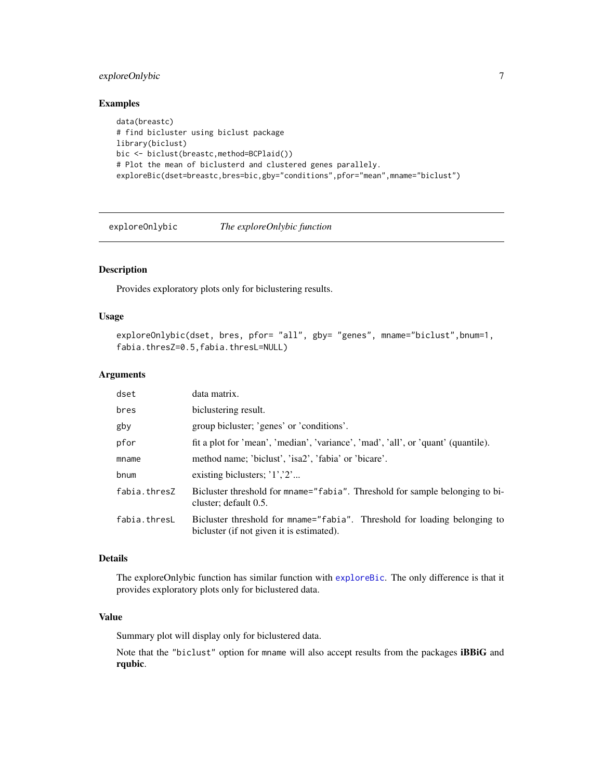# <span id="page-6-0"></span>exploreOnlybic 7

# Examples

```
data(breastc)
# find bicluster using biclust package
library(biclust)
bic <- biclust(breastc,method=BCPlaid())
# Plot the mean of biclusterd and clustered genes parallely.
exploreBic(dset=breastc,bres=bic,gby="conditions",pfor="mean",mname="biclust")
```
<span id="page-6-1"></span>exploreOnlybic *The exploreOnlybic function*

# Description

Provides exploratory plots only for biclustering results.

#### Usage

```
exploreOnlybic(dset, bres, pfor= "all", gby= "genes", mname="biclust",bnum=1,
fabia.thresZ=0.5,fabia.thresL=NULL)
```
# Arguments

| dset         | data matrix.                                                                                                           |
|--------------|------------------------------------------------------------------------------------------------------------------------|
| bres         | biclustering result.                                                                                                   |
| gby          | group bicluster; 'genes' or 'conditions'.                                                                              |
| pfor         | fit a plot for 'mean', 'median', 'variance', 'mad', 'all', or 'quant' (quantile).                                      |
| mname        | method name; 'biclust', 'isa2', 'fabia' or 'bicare'.                                                                   |
| bnum         | existing biclusters; $'1'$ , $'2'$                                                                                     |
| fabia.thresZ | Bicluster threshold for mname="fabia". Threshold for sample belonging to bi-<br>cluster; default 0.5.                  |
| fabia.thresL | Bicluster threshold for mname="fabia". Threshold for loading belonging to<br>bicluster (if not given it is estimated). |

# Details

The exploreOnlybic function has similar function with [exploreBic](#page-4-1). The only difference is that it provides exploratory plots only for biclustered data.

# Value

Summary plot will display only for biclustered data.

Note that the "biclust" option for mname will also accept results from the packages iBBiG and rqubic.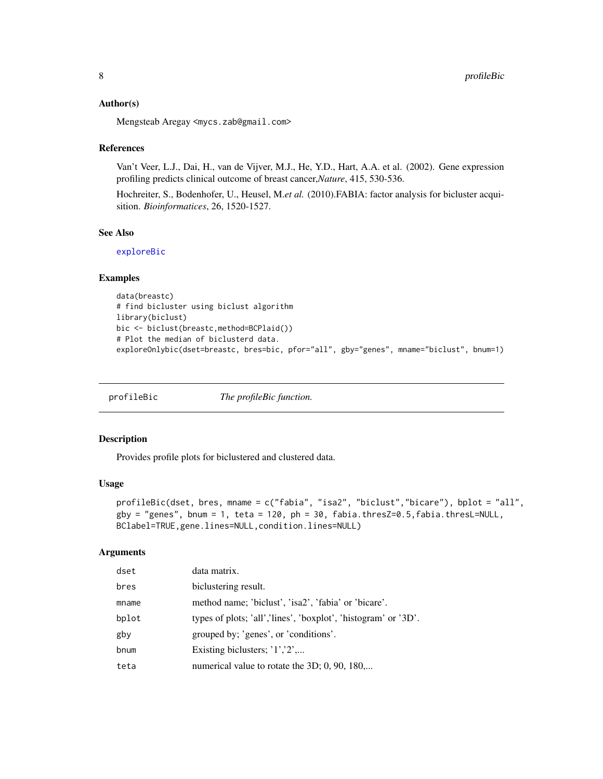# <span id="page-7-0"></span>Author(s)

Mengsteab Aregay <mycs.zab@gmail.com>

#### **References**

Van't Veer, L.J., Dai, H., van de Vijver, M.J., He, Y.D., Hart, A.A. et al. (2002). Gene expression profiling predicts clinical outcome of breast cancer,*Nature*, 415, 530-536.

Hochreiter, S., Bodenhofer, U., Heusel, M.*et al.* (2010).FABIA: factor analysis for bicluster acquisition. *Bioinformatices*, 26, 1520-1527.

# See Also

[exploreBic](#page-4-1)

#### Examples

```
data(breastc)
# find bicluster using biclust algorithm
library(biclust)
bic <- biclust(breastc,method=BCPlaid())
# Plot the median of biclusterd data.
exploreOnlybic(dset=breastc, bres=bic, pfor="all", gby="genes", mname="biclust", bnum=1)
```
profileBic *The profileBic function.*

# Description

Provides profile plots for biclustered and clustered data.

#### Usage

```
profileBic(dset, bres, mname = c("fabia", "isa2", "biclust","bicare"), bplot = "all",
gby = "genes", bnum = 1, teta = 120, ph = 30, fabia.thresZ=0.5, fabia.thresL=NULL,
BClabel=TRUE,gene.lines=NULL,condition.lines=NULL)
```
#### Arguments

| dset  | data matrix.                                                   |
|-------|----------------------------------------------------------------|
| bres  | biclustering result.                                           |
| mname | method name; 'biclust', 'isa2', 'fabia' or 'bicare'.           |
| bplot | types of plots; 'all','lines', 'boxplot', 'histogram' or '3D'. |
| gby   | grouped by; 'genes', or 'conditions'.                          |
| bnum  | Existing biclusters; $'1', '2', $                              |
| teta  | numerical value to rotate the 3D; 0, 90, 180                   |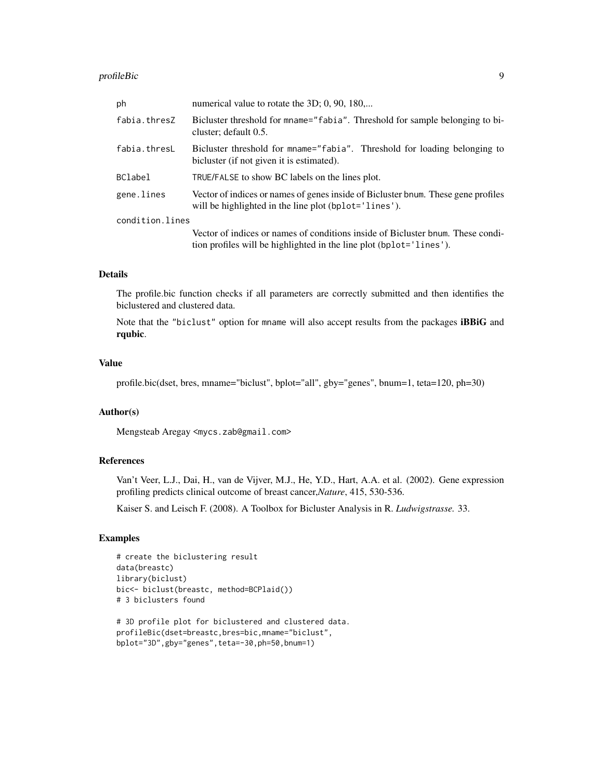#### profileBic 99 and 2012 12:00 profileBic 99 and 2012 12:00 profileBic 99 and 2012 12:00 profileBic 99 and 2012 12:00 profileBic 99 and 2012 12:00 profileBic 99 and 2012 12:00 profileBic 99 and 2012 12:00 profileBic 99 and 2

| ph              | numerical value to rotate the 3D; 0, 90, 180                                                                                                           |
|-----------------|--------------------------------------------------------------------------------------------------------------------------------------------------------|
| fabia.thresZ    | Bicluster threshold for mname="fabia". Threshold for sample belonging to bi-<br>cluster; default 0.5.                                                  |
| fabia.thresL    | Bicluster threshold for mname="fabia". Threshold for loading belonging to<br>bicluster (if not given it is estimated).                                 |
| <b>BClabel</b>  | TRUE/FALSE to show BC labels on the lines plot.                                                                                                        |
| gene.lines      | Vector of indices or names of genes inside of Bicluster bnum. These gene profiles<br>will be highlighted in the line plot (bplot='lines').             |
| condition.lines |                                                                                                                                                        |
|                 | Vector of indices or names of conditions inside of Bicluster bnum. These condi-<br>tion profiles will be highlighted in the line plot (bplot='lines'). |

# Details

The profile.bic function checks if all parameters are correctly submitted and then identifies the biclustered and clustered data.

Note that the "biclust" option for mname will also accept results from the packages iBBiG and rqubic.

# Value

profile.bic(dset, bres, mname="biclust", bplot="all", gby="genes", bnum=1, teta=120, ph=30)

#### Author(s)

Mengsteab Aregay <mycs.zab@gmail.com>

# References

Van't Veer, L.J., Dai, H., van de Vijver, M.J., He, Y.D., Hart, A.A. et al. (2002). Gene expression profiling predicts clinical outcome of breast cancer,*Nature*, 415, 530-536.

Kaiser S. and Leisch F. (2008). A Toolbox for Bicluster Analysis in R. *Ludwigstrasse.* 33.

## Examples

```
# create the biclustering result
data(breastc)
library(biclust)
bic<- biclust(breastc, method=BCPlaid())
# 3 biclusters found
```

```
# 3D profile plot for biclustered and clustered data.
profileBic(dset=breastc,bres=bic,mname="biclust",
bplot="3D",gby="genes",teta=-30,ph=50,bnum=1)
```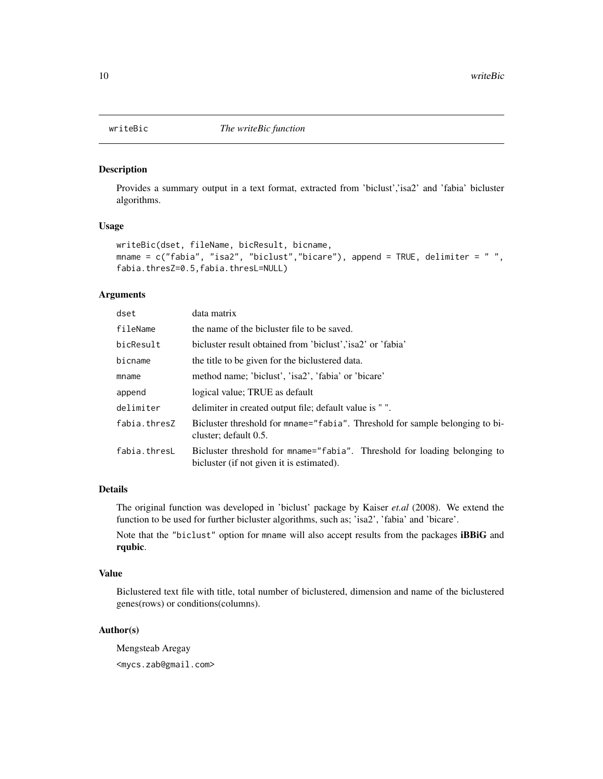<span id="page-9-0"></span>

# Description

Provides a summary output in a text format, extracted from 'biclust','isa2' and 'fabia' bicluster algorithms.

# Usage

```
writeBic(dset, fileName, bicResult, bicname,
mname = c("fabia", "isa2", "biclust", "bicare"), append = TRUE, delimiter = "",fabia.thresZ=0.5,fabia.thresL=NULL)
```
## Arguments

| dset         | data matrix                                                                                                            |
|--------------|------------------------------------------------------------------------------------------------------------------------|
| fileName     | the name of the bicluster file to be saved.                                                                            |
| bicResult    | bicluster result obtained from 'biclust', 'isa2' or 'fabia'                                                            |
| bicname      | the title to be given for the biclustered data.                                                                        |
| mname        | method name; 'biclust', 'isa2', 'fabia' or 'bicare'                                                                    |
| append       | logical value; TRUE as default                                                                                         |
| delimiter    | delimiter in created output file; default value is " ".                                                                |
| fabia.thresZ | Bicluster threshold for mname="fabia". Threshold for sample belonging to bi-<br>cluster; default 0.5.                  |
| fabia.thresL | Bicluster threshold for mname="fabia". Threshold for loading belonging to<br>bicluster (if not given it is estimated). |

# Details

The original function was developed in 'biclust' package by Kaiser *et.al* (2008). We extend the function to be used for further bicluster algorithms, such as; 'isa2', 'fabia' and 'bicare'.

Note that the "biclust" option for mname will also accept results from the packages iBBiG and rqubic.

#### Value

Biclustered text file with title, total number of biclustered, dimension and name of the biclustered genes(rows) or conditions(columns).

# Author(s)

Mengsteab Aregay <mycs.zab@gmail.com>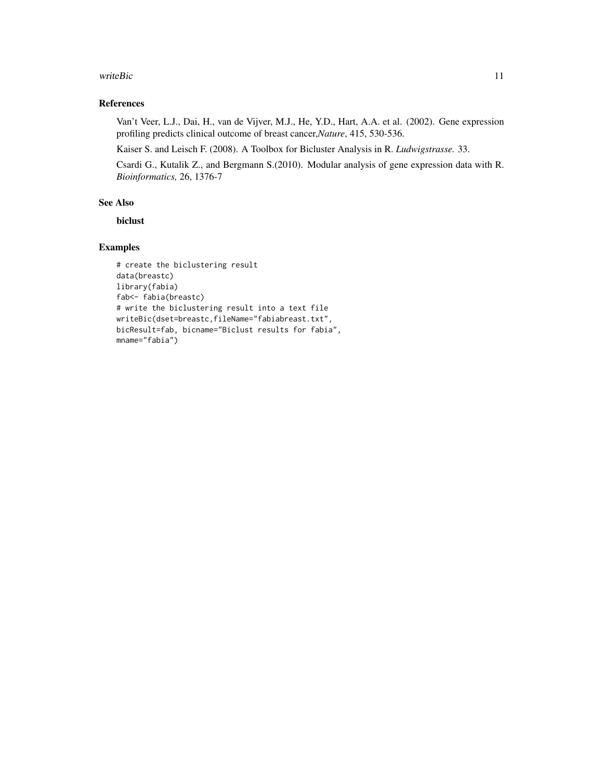#### writeBic 11

# References

Van't Veer, L.J., Dai, H., van de Vijver, M.J., He, Y.D., Hart, A.A. et al. (2002). Gene expression profiling predicts clinical outcome of breast cancer,*Nature*, 415, 530-536.

Kaiser S. and Leisch F. (2008). A Toolbox for Bicluster Analysis in R. *Ludwigstrasse.* 33.

Csardi G., Kutalik Z., and Bergmann S.(2010). Modular analysis of gene expression data with R. *Bioinformatics,* 26, 1376-7

#### See Also

biclust

# Examples

```
# create the biclustering result
data(breastc)
library(fabia)
fab<- fabia(breastc)
# write the biclustering result into a text file
writeBic(dset=breastc,fileName="fabiabreast.txt",
bicResult=fab, bicname="Biclust results for fabia",
mname="fabia")
```